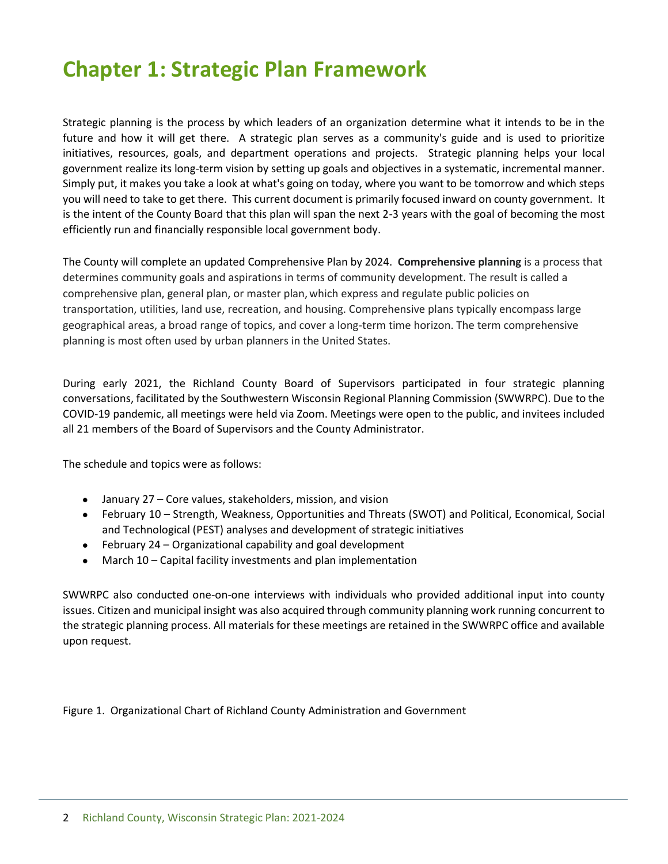# **Chapter 1: Strategic Plan Framework**

Strategic planning is the process by which leaders of an organization determine what it intends to be in the future and how it will get there. A strategic plan serves as a community's guide and is used to prioritize initiatives, resources, goals, and department operations and projects. Strategic planning helps your local government realize its long-term vision by setting up goals and objectives in a systematic, incremental manner. Simply put, it makes you take a look at what's going on today, where you want to be tomorrow and which steps you will need to take to get there. This current document is primarily focused inward on county government. It is the intent of the County Board that this plan will span the next 2-3 years with the goal of becoming the most efficiently run and financially responsible local government body.

The County will complete an updated Comprehensive Plan by 2024. **Comprehensive planning** is a process that determines community goals and aspirations in terms of community development. The result is called a comprehensive plan, general plan, or master plan,which express and regulate public policies on transportation, utilities, land use, recreation, and housing. Comprehensive plans typically encompass large geographical areas, a broad range of topics, and cover a long-term time horizon. The term comprehensive planning is most often used by urban planners in the United States.

During early 2021, the Richland County Board of Supervisors participated in four strategic planning conversations, facilitated by the Southwestern Wisconsin Regional Planning Commission (SWWRPC). Due to the COVID-19 pandemic, all meetings were held via Zoom. Meetings were open to the public, and invitees included all 21 members of the Board of Supervisors and the County Administrator.

The schedule and topics were as follows:

- January 27 Core values, stakeholders, mission, and vision
- February 10 Strength, Weakness, Opportunities and Threats (SWOT) and Political, Economical, Social and Technological (PEST) analyses and development of strategic initiatives
- February 24 Organizational capability and goal development
- March 10 Capital facility investments and plan implementation

SWWRPC also conducted one-on-one interviews with individuals who provided additional input into county issues. Citizen and municipal insight was also acquired through community planning work running concurrent to the strategic planning process. All materials for these meetings are retained in the SWWRPC office and available upon request.

Figure 1. Organizational Chart of Richland County Administration and Government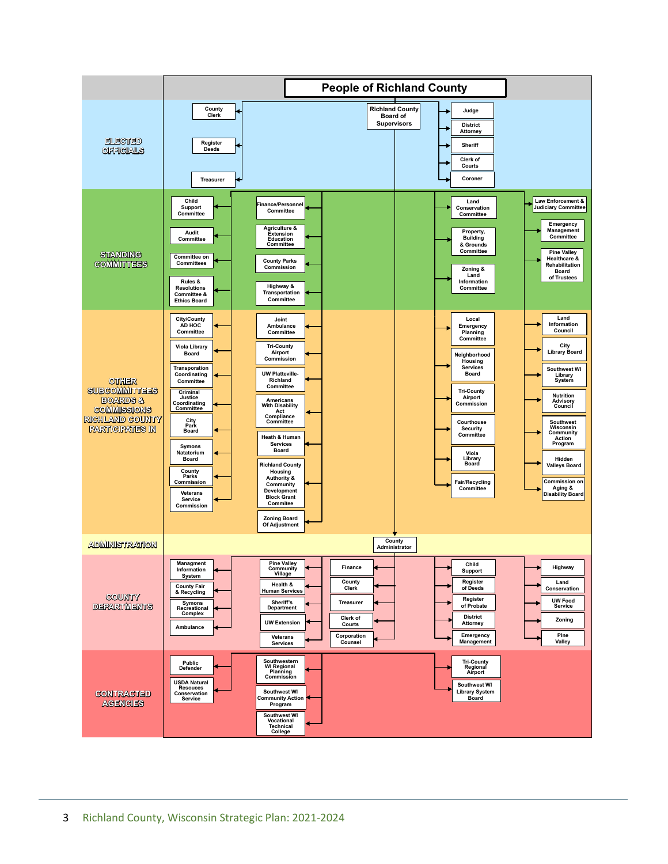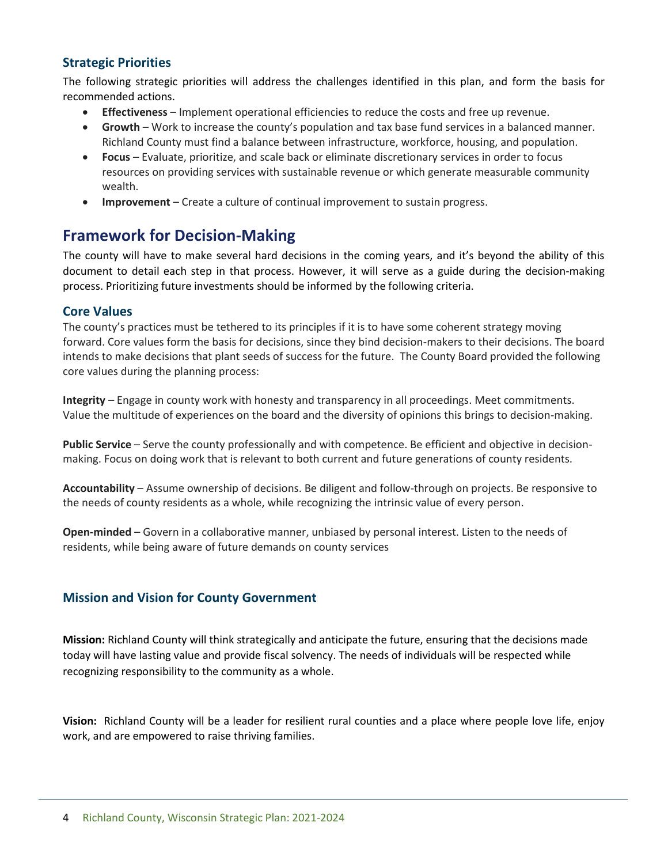#### **Strategic Priorities**

The following strategic priorities will address the challenges identified in this plan, and form the basis for recommended actions.

- **Effectiveness** Implement operational efficiencies to reduce the costs and free up revenue.
- **Growth** Work to increase the county's population and tax base fund services in a balanced manner. Richland County must find a balance between infrastructure, workforce, housing, and population.
- **Focus** Evaluate, prioritize, and scale back or eliminate discretionary services in order to focus resources on providing services with sustainable revenue or which generate measurable community wealth.
- **Improvement** Create a culture of continual improvement to sustain progress.

## **Framework for Decision-Making**

The county will have to make several hard decisions in the coming years, and it's beyond the ability of this document to detail each step in that process. However, it will serve as a guide during the decision-making process. Prioritizing future investments should be informed by the following criteria.

#### **Core Values**

The county's practices must be tethered to its principles if it is to have some coherent strategy moving forward. Core values form the basis for decisions, since they bind decision-makers to their decisions. The board intends to make decisions that plant seeds of success for the future. The County Board provided the following core values during the planning process:

**Integrity** – Engage in county work with honesty and transparency in all proceedings. Meet commitments. Value the multitude of experiences on the board and the diversity of opinions this brings to decision-making.

**Public Service** – Serve the county professionally and with competence. Be efficient and objective in decisionmaking. Focus on doing work that is relevant to both current and future generations of county residents.

**Accountability** – Assume ownership of decisions. Be diligent and follow-through on projects. Be responsive to the needs of county residents as a whole, while recognizing the intrinsic value of every person.

**Open-minded** – Govern in a collaborative manner, unbiased by personal interest. Listen to the needs of residents, while being aware of future demands on county services

#### **Mission and Vision for County Government**

**Mission:** Richland County will think strategically and anticipate the future, ensuring that the decisions made today will have lasting value and provide fiscal solvency. The needs of individuals will be respected while recognizing responsibility to the community as a whole.

**Vision:** Richland County will be a leader for resilient rural counties and a place where people love life, enjoy work, and are empowered to raise thriving families.